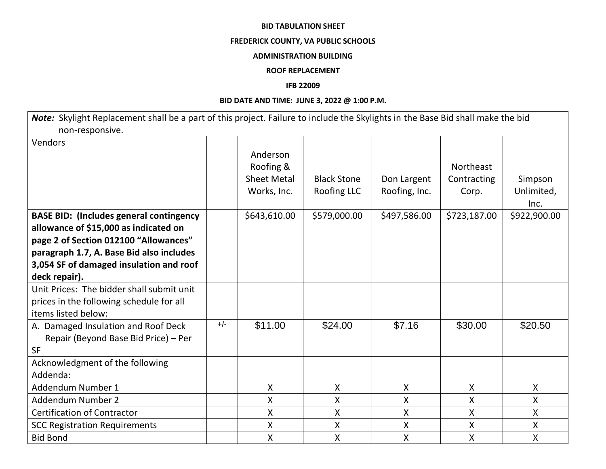#### **BID TABULATION SHEET**

## **FREDERICK COUNTY, VA PUBLIC SCHOOLS**

#### **ADMINISTRATION BUILDING**

### **ROOF REPLACEMENT**

### **IFB 22009**

## **BID DATE AND TIME: JUNE 3, 2022 @ 1:00 P.M.**

*Note:* Skylight Replacement shall be a part of this project. Failure to include the Skylights in the Base Bid shall make the bid non-responsive.

| Vendors                                        |       |                    |                           |                           |                  |              |
|------------------------------------------------|-------|--------------------|---------------------------|---------------------------|------------------|--------------|
|                                                |       | Anderson           |                           |                           |                  |              |
|                                                |       | Roofing &          |                           |                           | <b>Northeast</b> |              |
|                                                |       | <b>Sheet Metal</b> | <b>Black Stone</b>        | Don Largent               | Contracting      | Simpson      |
|                                                |       | Works, Inc.        | Roofing LLC               | Roofing, Inc.             | Corp.            | Unlimited,   |
|                                                |       |                    |                           |                           |                  | Inc.         |
| <b>BASE BID: (Includes general contingency</b> |       | \$643,610.00       | \$579,000.00              | \$497,586.00              | \$723,187.00     | \$922,900.00 |
| allowance of \$15,000 as indicated on          |       |                    |                           |                           |                  |              |
| page 2 of Section 012100 "Allowances"          |       |                    |                           |                           |                  |              |
| paragraph 1.7, A. Base Bid also includes       |       |                    |                           |                           |                  |              |
| 3,054 SF of damaged insulation and roof        |       |                    |                           |                           |                  |              |
| deck repair).                                  |       |                    |                           |                           |                  |              |
| Unit Prices: The bidder shall submit unit      |       |                    |                           |                           |                  |              |
| prices in the following schedule for all       |       |                    |                           |                           |                  |              |
| items listed below:                            |       |                    |                           |                           |                  |              |
| A. Damaged Insulation and Roof Deck            | $+/-$ | \$11.00            | \$24.00                   | \$7.16                    | \$30.00          | \$20.50      |
| Repair (Beyond Base Bid Price) - Per           |       |                    |                           |                           |                  |              |
| <b>SF</b>                                      |       |                    |                           |                           |                  |              |
| Acknowledgment of the following                |       |                    |                           |                           |                  |              |
| Addenda:                                       |       |                    |                           |                           |                  |              |
| Addendum Number 1                              |       | $\mathsf{X}$       | $\boldsymbol{\mathsf{X}}$ | $\boldsymbol{\mathsf{X}}$ | $\mathsf{X}$     | $\mathsf{X}$ |
| Addendum Number 2                              |       | X                  | $\boldsymbol{\mathsf{X}}$ | X                         | X                | $\mathsf{X}$ |
| <b>Certification of Contractor</b>             |       | X                  | X                         | X                         | X                | X            |
| <b>SCC Registration Requirements</b>           |       | Χ                  | X                         | $\sf X$                   | Χ                | X            |
| <b>Bid Bond</b>                                |       | Χ                  | X                         | $\sf X$                   | X                | X            |